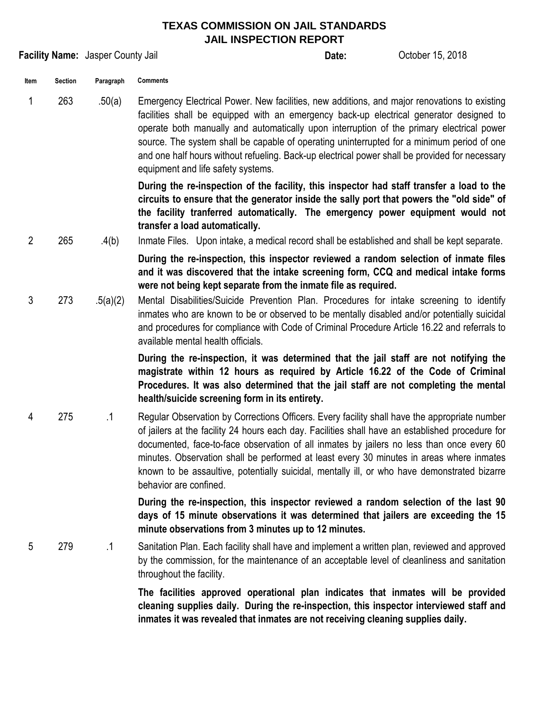## **TEXAS COMMISSION ON JAIL STANDARDS JAIL INSPECTION REPORT**

|                |                | Facility Name: Jasper County Jail |                                                                                                                                                                                                                                                                                                                                                                                                                                                                                                                            | Date: | October 15, 2018 |
|----------------|----------------|-----------------------------------|----------------------------------------------------------------------------------------------------------------------------------------------------------------------------------------------------------------------------------------------------------------------------------------------------------------------------------------------------------------------------------------------------------------------------------------------------------------------------------------------------------------------------|-------|------------------|
| Item           | <b>Section</b> | Paragraph                         | <b>Comments</b>                                                                                                                                                                                                                                                                                                                                                                                                                                                                                                            |       |                  |
| 1              | 263            | .50(a)                            | Emergency Electrical Power. New facilities, new additions, and major renovations to existing<br>facilities shall be equipped with an emergency back-up electrical generator designed to<br>operate both manually and automatically upon interruption of the primary electrical power<br>source. The system shall be capable of operating uninterrupted for a minimum period of one<br>and one half hours without refueling. Back-up electrical power shall be provided for necessary<br>equipment and life safety systems. |       |                  |
| $\overline{2}$ | 265            |                                   | During the re-inspection of the facility, this inspector had staff transfer a load to the<br>circuits to ensure that the generator inside the sally port that powers the "old side" of<br>the facility tranferred automatically. The emergency power equipment would not<br>transfer a load automatically.                                                                                                                                                                                                                 |       |                  |
|                |                | .4(b)                             | Inmate Files. Upon intake, a medical record shall be established and shall be kept separate.<br>During the re-inspection, this inspector reviewed a random selection of inmate files<br>and it was discovered that the intake screening form, CCQ and medical intake forms<br>were not being kept separate from the inmate file as required.                                                                                                                                                                               |       |                  |
| 3              | 273            | .5(a)(2)                          | Mental Disabilities/Suicide Prevention Plan. Procedures for intake screening to identify<br>inmates who are known to be or observed to be mentally disabled and/or potentially suicidal<br>and procedures for compliance with Code of Criminal Procedure Article 16.22 and referrals to<br>available mental health officials.                                                                                                                                                                                              |       |                  |
|                |                |                                   | During the re-inspection, it was determined that the jail staff are not notifying the<br>magistrate within 12 hours as required by Article 16.22 of the Code of Criminal<br>Procedures. It was also determined that the jail staff are not completing the mental<br>health/suicide screening form in its entirety.                                                                                                                                                                                                         |       |                  |
| 4              | 275            | $\cdot$ 1                         | Regular Observation by Corrections Officers. Every facility shall have the appropriate number<br>of jailers at the facility 24 hours each day. Facilities shall have an established procedure for<br>documented, face-to-face observation of all inmates by jailers no less than once every 60<br>minutes. Observation shall be performed at least every 30 minutes in areas where inmates<br>known to be assaultive, potentially suicidal, mentally ill, or who have demonstrated bizarre<br>behavior are confined.       |       |                  |
|                |                |                                   | During the re-inspection, this inspector reviewed a random selection of the last 90<br>days of 15 minute observations it was determined that jailers are exceeding the 15<br>minute observations from 3 minutes up to 12 minutes.                                                                                                                                                                                                                                                                                          |       |                  |
| 5              | 279            | $\cdot$ 1                         | Sanitation Plan. Each facility shall have and implement a written plan, reviewed and approved<br>by the commission, for the maintenance of an acceptable level of cleanliness and sanitation<br>throughout the facility.                                                                                                                                                                                                                                                                                                   |       |                  |

**The facilities approved operational plan indicates that inmates will be provided cleaning supplies daily. During the re-inspection, this inspector interviewed staff and inmates it was revealed that inmates are not receiving cleaning supplies daily.**